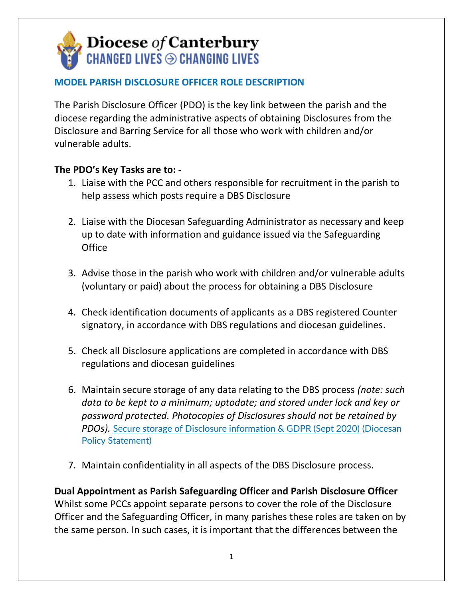## **Diocese of Canterbury<br>CHANGED LIVES**  $\odot$  **CHANGING LIVES**

## **MODEL PARISH DISCLOSURE OFFICER ROLE DESCRIPTION**

The Parish Disclosure Officer (PDO) is the key link between the parish and the diocese regarding the administrative aspects of obtaining Disclosures from the Disclosure and Barring Service for all those who work with children and/or vulnerable adults.

## **The PDO's Key Tasks are to: -**

- 1. Liaise with the PCC and others responsible for recruitment in the parish to help assess which posts require a DBS Disclosure
- 2. Liaise with the Diocesan Safeguarding Administrator as necessary and keep up to date with information and guidance issued via the Safeguarding **Office**
- 3. Advise those in the parish who work with children and/or vulnerable adults (voluntary or paid) about the process for obtaining a DBS Disclosure
- 4. Check identification documents of applicants as a DBS registered Counter signatory, in accordance with DBS regulations and diocesan guidelines.
- 5. Check all Disclosure applications are completed in accordance with DBS regulations and diocesan guidelines
- 6. Maintain secure storage of any data relating to the DBS process *(note: such data to be kept to a minimum; uptodate; and stored under lock and key or password protected. Photocopies of Disclosures should not be retained by PDOs).* [Secure storage of Disclosure information & GDPR \(Sept 2020\)](https://www.canterburydiocese.org/content/pages/documents/1600773781.pdf) (Diocesan Policy Statement)
- 7. Maintain confidentiality in all aspects of the DBS Disclosure process.

**Dual Appointment as Parish Safeguarding Officer and Parish Disclosure Officer**  Whilst some PCCs appoint separate persons to cover the role of the Disclosure Officer and the Safeguarding Officer, in many parishes these roles are taken on by the same person. In such cases, it is important that the differences between the